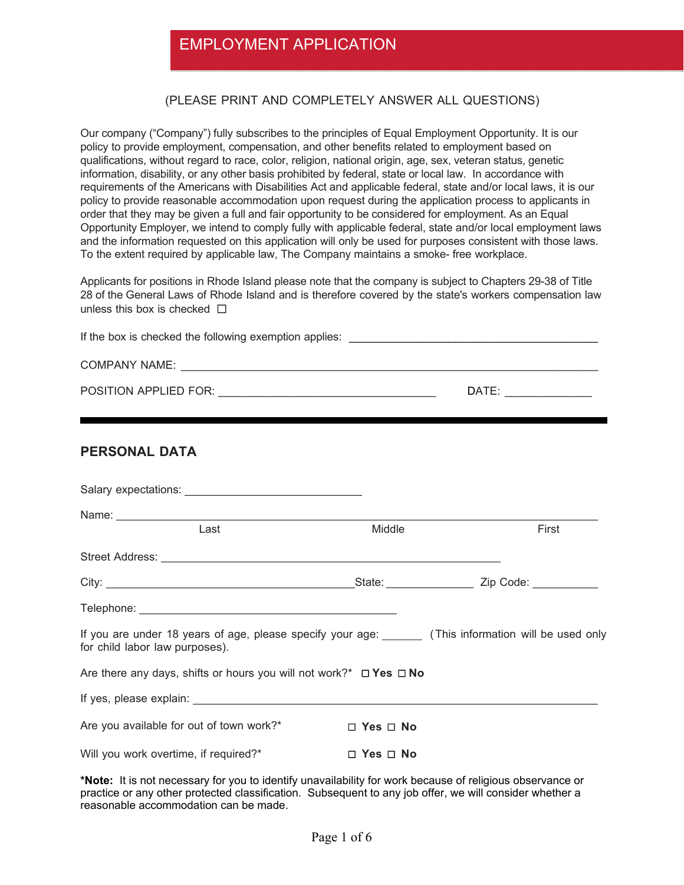## EMPLOYMENT APPLICATION

#### (PLEASE PRINT AND COMPLETELY ANSWER ALL QUESTIONS)

Our company ("Company") fully subscribes to the principles of Equal Employment Opportunity. It is our policy to provide employment, compensation, and other benefits related to employment based on qualifications, without regard to race, color, religion, national origin, age, sex, veteran status, genetic information, disability, or any other basis prohibited by federal, state or local law. In accordance with requirements of the Americans with Disabilities Act and applicable federal, state and/or local laws, it is our policy to provide reasonable accommodation upon request during the application process to applicants in order that they may be given a full and fair opportunity to be considered for employment. As an Equal Opportunity Employer, we intend to comply fully with applicable federal, state and/or local employment laws and the information requested on this application will only be used for purposes consistent with those laws. To the extent required by applicable law, The Company maintains a smoke- free workplace.

Applicants for positions in Rhode Island please note that the company is subject to Chapters 29-38 of Title 28 of the General Laws of Rhode Island and is therefore covered by the state's workers compensation law unless this box is checked **□** 

| <b>PERSONAL DATA</b>                                                                                                                                                                                                           |                      |       |
|--------------------------------------------------------------------------------------------------------------------------------------------------------------------------------------------------------------------------------|----------------------|-------|
| Salary expectations: Note and the same state of the state of the state of the state of the state of the state of the state of the state of the state of the state of the state of the state of the state of the state of the s |                      |       |
| Name: <u>Name:</u> Name: 2008                                                                                                                                                                                                  |                      |       |
| Last                                                                                                                                                                                                                           | Middle               | First |
|                                                                                                                                                                                                                                |                      |       |
|                                                                                                                                                                                                                                |                      |       |
|                                                                                                                                                                                                                                |                      |       |
| If you are under 18 years of age, please specify your age: ______ (This information will be used only<br>for child labor law purposes).                                                                                        |                      |       |
| Are there any days, shifts or hours you will not work?* $\Box$ Yes $\Box$ No                                                                                                                                                   |                      |       |
|                                                                                                                                                                                                                                |                      |       |
| Are you available for out of town work?*                                                                                                                                                                                       | $\Box$ Yes $\Box$ No |       |
| Will you work overtime, if required?*                                                                                                                                                                                          | $\Box$ Yes $\Box$ No |       |

**\*Note:** It is not necessary for you to identify unavailability for work because of religious observance or practice or any other protected classification. Subsequent to any job offer, we will consider whether a reasonable accommodation can be made.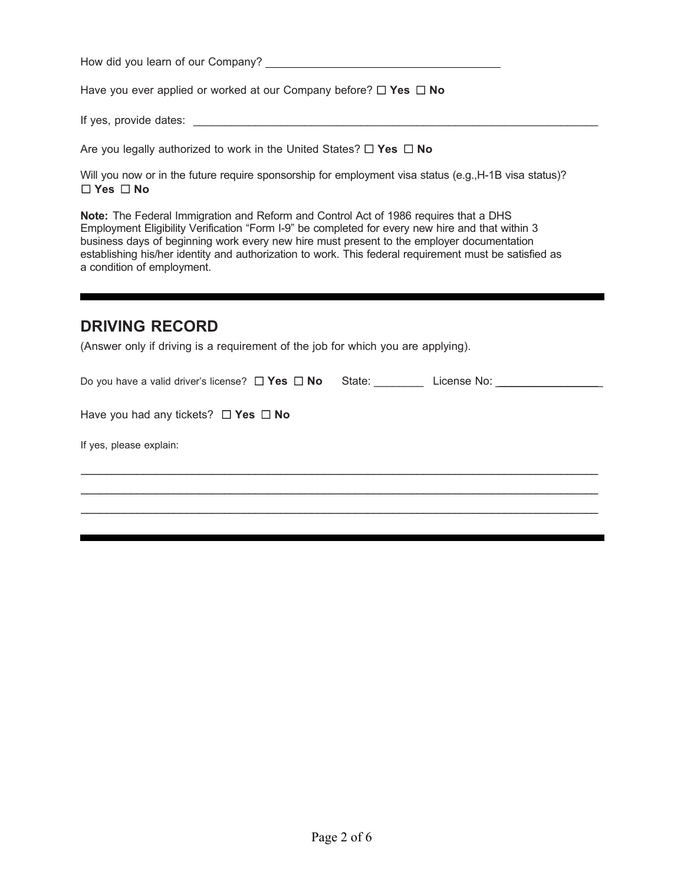How did you learn of our Company? <u>All Allen Company and the set of the set of the set of the set of the set of the set of the set of the set of the set of the set of the set of the set of the set of the set of the set of </u>

Have you ever applied or worked at our Company before? ☐ **Yes** ☐ **No** 

If yes, provide dates: \_\_\_\_\_\_\_\_\_\_\_\_\_\_\_\_\_\_\_\_\_\_\_\_\_\_\_\_\_\_\_\_\_\_\_\_\_\_\_\_\_\_\_\_\_\_\_\_\_\_\_\_\_\_\_\_\_\_\_\_\_\_\_\_\_

Are you legally authorized to work in the United States? ☐ **Yes** ☐ **No** 

Will you now or in the future require sponsorship for employment visa status (e.g., H-1B visa status)? ☐ **Yes** ☐ **No**

**Note:** The Federal Immigration and Reform and Control Act of 1986 requires that a DHS Employment Eligibility Verification "Form I-9" be completed for every new hire and that within 3 business days of beginning work every new hire must present to the employer documentation establishing his/her identity and authorization to work. This federal requirement must be satisfied as a condition of employment.

#### **DRIVING RECORD**

(Answer only if driving is a requirement of the job for which you are applying).

| Do you have a valid driver's license? $\Box$ Yes $\Box$ No State: | License No: <b>Example 19</b> |
|-------------------------------------------------------------------|-------------------------------|
|                                                                   |                               |
| Have you had any tickets? $\Box$ Yes $\Box$ No                    |                               |
|                                                                   |                               |
| If yes, please explain:                                           |                               |
|                                                                   |                               |
|                                                                   |                               |
|                                                                   |                               |
|                                                                   |                               |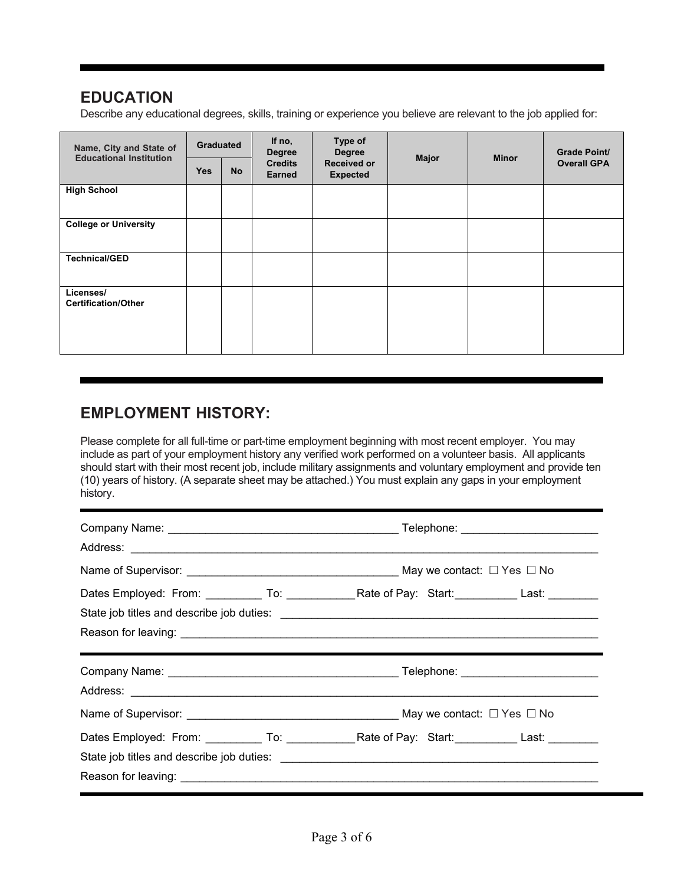## **EDUCATION**

Describe any educational degrees, skills, training or experience you believe are relevant to the job applied for:

| Name, City and State of                 | Type of<br>If no,<br>Graduated<br><b>Degree</b><br><b>Degree</b><br><b>Educational Institution</b> | <b>Major</b> | <b>Minor</b>                    | <b>Grade Point/</b>                   |  |  |                    |
|-----------------------------------------|----------------------------------------------------------------------------------------------------|--------------|---------------------------------|---------------------------------------|--|--|--------------------|
|                                         | <b>Yes</b>                                                                                         | <b>No</b>    | <b>Credits</b><br><b>Earned</b> | <b>Received or</b><br><b>Expected</b> |  |  | <b>Overall GPA</b> |
| <b>High School</b>                      |                                                                                                    |              |                                 |                                       |  |  |                    |
| <b>College or University</b>            |                                                                                                    |              |                                 |                                       |  |  |                    |
| <b>Technical/GED</b>                    |                                                                                                    |              |                                 |                                       |  |  |                    |
| Licenses/<br><b>Certification/Other</b> |                                                                                                    |              |                                 |                                       |  |  |                    |

## **EMPLOYMENT HISTORY:**

Please complete for all full-time or part-time employment beginning with most recent employer. You may include as part of your employment history any verified work performed on a volunteer basis. All applicants should start with their most recent job, include military assignments and voluntary employment and provide ten (10) years of history. (A separate sheet may be attached.) You must explain any gaps in your employment history.

| Name of Supervisor: $\sqrt{a}$ No                                                              |  |
|------------------------------------------------------------------------------------------------|--|
| Dates Employed: From: __________ To: ____________Rate of Pay: Start: __________ Last: ________ |  |
|                                                                                                |  |
|                                                                                                |  |
|                                                                                                |  |
|                                                                                                |  |
|                                                                                                |  |
|                                                                                                |  |
|                                                                                                |  |
|                                                                                                |  |
|                                                                                                |  |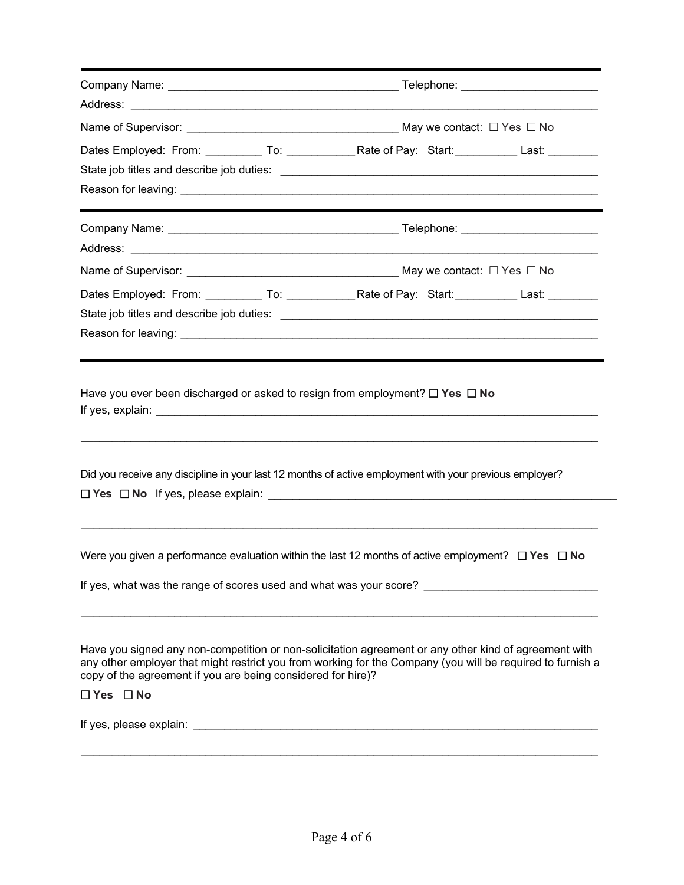| Dates Employed: From: ___________ To: _______________Rate of Pay: Start: ___________ Last: _________                                                                                                                                                                                                                                                                                           |  |  |  |
|------------------------------------------------------------------------------------------------------------------------------------------------------------------------------------------------------------------------------------------------------------------------------------------------------------------------------------------------------------------------------------------------|--|--|--|
|                                                                                                                                                                                                                                                                                                                                                                                                |  |  |  |
|                                                                                                                                                                                                                                                                                                                                                                                                |  |  |  |
|                                                                                                                                                                                                                                                                                                                                                                                                |  |  |  |
|                                                                                                                                                                                                                                                                                                                                                                                                |  |  |  |
|                                                                                                                                                                                                                                                                                                                                                                                                |  |  |  |
| Dates Employed: From: ___________ To: ________________Rate of Pay: Start: ___________ Last: _________                                                                                                                                                                                                                                                                                          |  |  |  |
|                                                                                                                                                                                                                                                                                                                                                                                                |  |  |  |
|                                                                                                                                                                                                                                                                                                                                                                                                |  |  |  |
|                                                                                                                                                                                                                                                                                                                                                                                                |  |  |  |
|                                                                                                                                                                                                                                                                                                                                                                                                |  |  |  |
|                                                                                                                                                                                                                                                                                                                                                                                                |  |  |  |
|                                                                                                                                                                                                                                                                                                                                                                                                |  |  |  |
| Did you receive any discipline in your last 12 months of active employment with your previous employer?<br>Have you signed any non-competition or non-solicitation agreement or any other kind of agreement with<br>any other employer that might restrict you from working for the Company (you will be required to furnish a<br>copy of the agreement if you are being considered for hire)? |  |  |  |
| Were you given a performance evaluation within the last 12 months of active employment? $\Box$ Yes $\Box$ No<br>$\Box$ Yes $\Box$ No                                                                                                                                                                                                                                                           |  |  |  |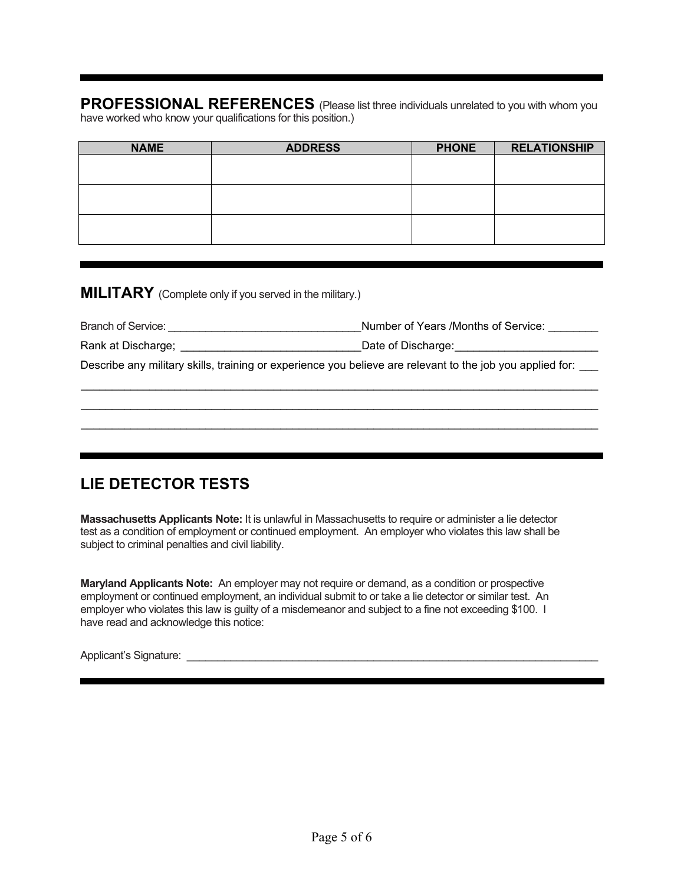**PROFESSIONAL REFERENCES** (Please list three individuals unrelated to you with whom you have worked who know your qualifications for this position.)

| <b>NAME</b> | <b>ADDRESS</b> | <b>PHONE</b> | <b>RELATIONSHIP</b> |
|-------------|----------------|--------------|---------------------|
|             |                |              |                     |
|             |                |              |                     |
|             |                |              |                     |
|             |                |              |                     |
|             |                |              |                     |
|             |                |              |                     |

**MILITARY** (Complete only if you served in the military.)

| Branch of Service: | Number of Years /Months of Service:                                                                       |
|--------------------|-----------------------------------------------------------------------------------------------------------|
| Rank at Discharge; | Date of Discharge:                                                                                        |
|                    | Describe any military skills, training or experience you believe are relevant to the job you applied for: |
|                    |                                                                                                           |

 \_\_\_\_\_\_\_\_\_\_\_\_\_\_\_\_\_\_\_\_\_\_\_\_\_\_\_\_\_\_\_\_\_\_\_\_\_\_\_\_\_\_\_\_\_\_\_\_\_\_\_\_\_\_\_\_\_\_\_\_\_\_\_\_\_\_\_\_\_\_\_\_\_\_\_\_\_\_\_\_\_\_\_  $\mathcal{L}_\mathcal{L} = \{ \mathcal{L}_\mathcal{L} = \{ \mathcal{L}_\mathcal{L} = \{ \mathcal{L}_\mathcal{L} = \{ \mathcal{L}_\mathcal{L} = \{ \mathcal{L}_\mathcal{L} = \{ \mathcal{L}_\mathcal{L} = \{ \mathcal{L}_\mathcal{L} = \{ \mathcal{L}_\mathcal{L} = \{ \mathcal{L}_\mathcal{L} = \{ \mathcal{L}_\mathcal{L} = \{ \mathcal{L}_\mathcal{L} = \{ \mathcal{L}_\mathcal{L} = \{ \mathcal{L}_\mathcal{L} = \{ \mathcal{L}_\mathcal{$ 

# **LIE DETECTOR TESTS**

**Massachusetts Applicants Note:** It is unlawful in Massachusetts to require or administer a lie detector test as a condition of employment or continued employment. An employer who violates this law shall be subject to criminal penalties and civil liability.

**Maryland Applicants Note:** An employer may not require or demand, as a condition or prospective employment or continued employment, an individual submit to or take a lie detector or similar test. An employer who violates this law is guilty of a misdemeanor and subject to a fine not exceeding \$100. I have read and acknowledge this notice:

Applicant's Signature: \_\_\_\_\_\_\_\_\_\_\_\_\_\_\_\_\_\_\_\_\_\_\_\_\_\_\_\_\_\_\_\_\_\_\_\_\_\_\_\_\_\_\_\_\_\_\_\_\_\_\_\_\_\_\_\_\_\_\_\_\_\_\_\_\_\_